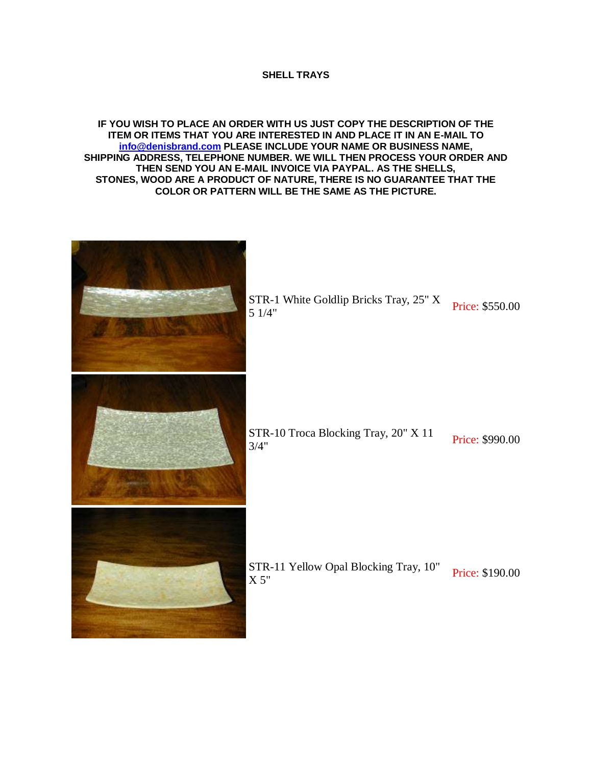## **SHELL TRAYS**

## **IF YOU WISH TO PLACE AN ORDER WITH US JUST COPY THE DESCRIPTION OF THE ITEM OR ITEMS THAT YOU ARE INTERESTED IN AND PLACE IT IN AN E-MAIL TO [info@denisbrand.com](mailto:info@denisbrand.com) PLEASE INCLUDE YOUR NAME OR BUSINESS NAME, SHIPPING ADDRESS, TELEPHONE NUMBER. WE WILL THEN PROCESS YOUR ORDER AND THEN SEND YOU AN E-MAIL INVOICE VIA PAYPAL. AS THE SHELLS, STONES, WOOD ARE A PRODUCT OF NATURE, THERE IS NO GUARANTEE THAT THE COLOR OR PATTERN WILL BE THE SAME AS THE PICTURE.**

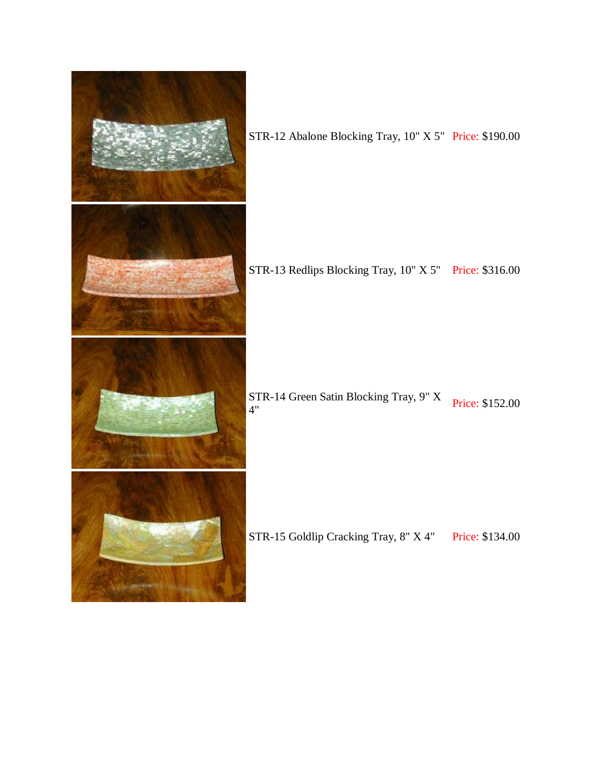

STR-12 Abalone Blocking Tray, 10" X 5" Price: \$190.00

STR-13 Redlips Blocking Tray, 10" X 5" Price: \$316.00

STR-14 Green Satin Blocking Tray, 9" X<br>4"

STR-15 Goldlip Cracking Tray, 8" X 4" Price: \$134.00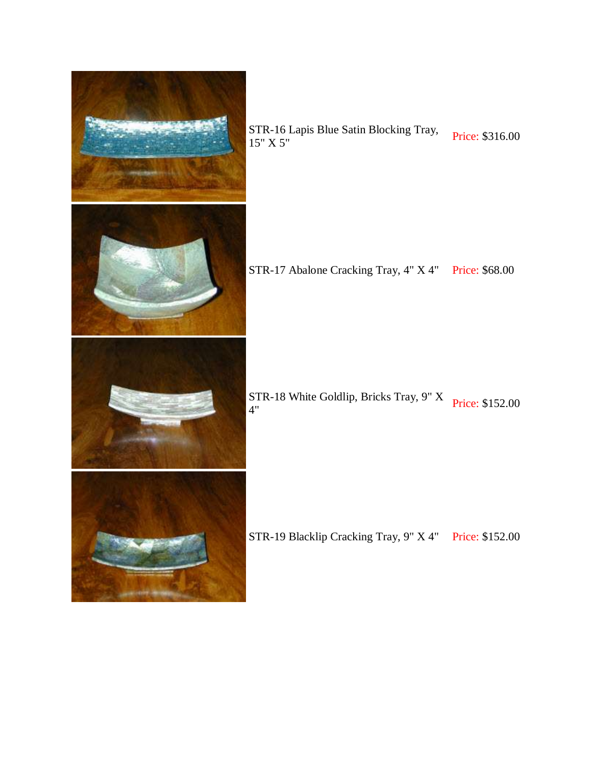

STR-16 Lapis Blue Satin Blocking Tray, Price: \$316.00<br>15" X 5"

STR-17 Abalone Cracking Tray, 4" X 4" Price: \$68.00

STR-18 White Goldlip, Bricks Tray, 9" X<br>4"

STR-19 Blacklip Cracking Tray, 9" X 4" Price: \$152.00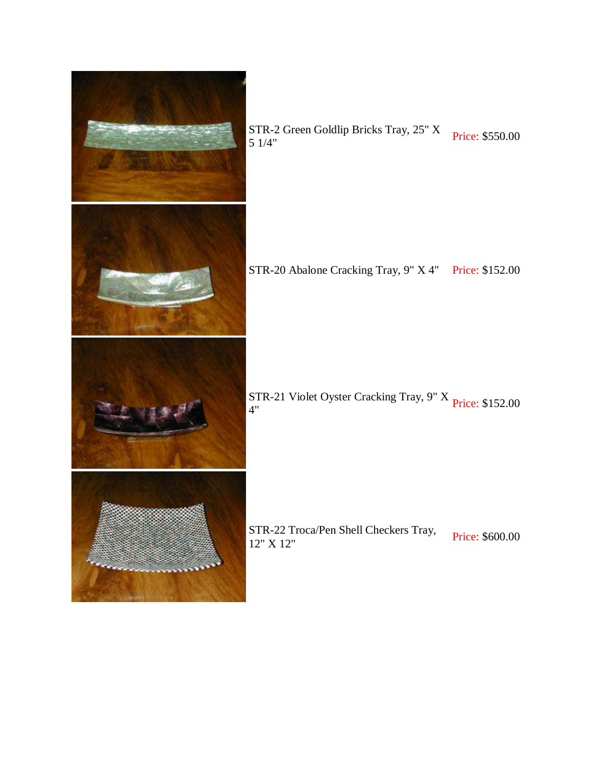

STR-2 Green Goldlip Bricks Tray, 25" X<br>5 1/4"

STR-20 Abalone Cracking Tray, 9" X 4" Price: \$152.00

STR-21 Violet Oyster Cracking Tray, 9" X Price: \$152.00<br>4"

STR-22 Troca/Pen Shell Checkers Tray,<br>
12" X 12"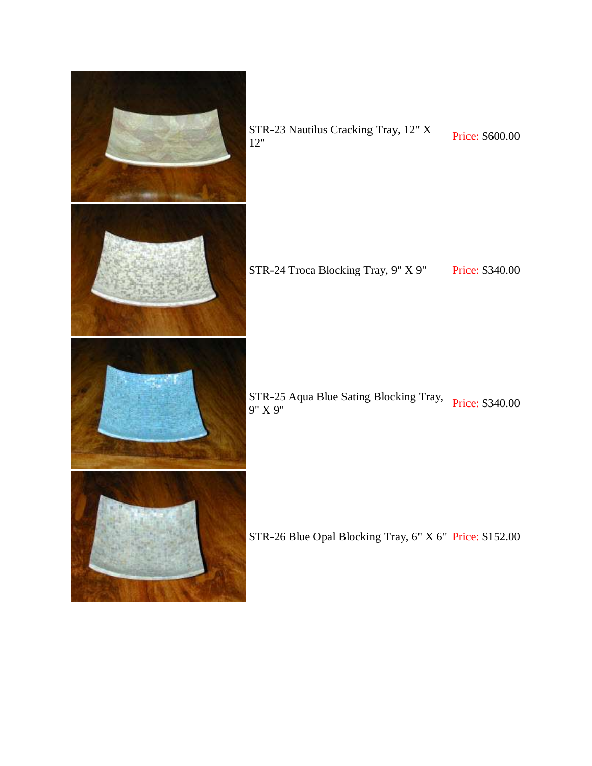

STR-24 Troca Blocking Tray, 9" X 9" Price: \$340.00

STR-25 Aqua Blue Sating Blocking Tray, Price: \$340.00<br>9" X 9"

STR-26 Blue Opal Blocking Tray, 6" X 6" Price: \$152.00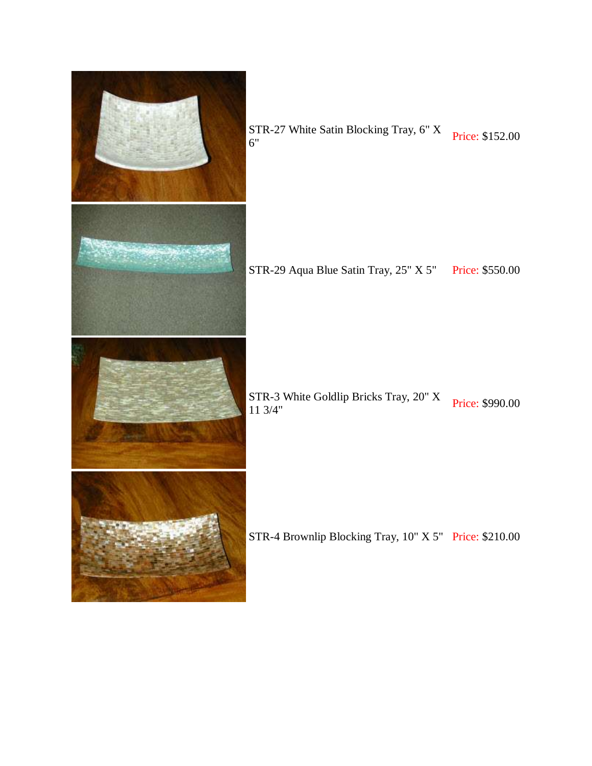

STR-27 White Satin Blocking Tray, 6" X<br>6" Price: \$152.00

STR-29 Aqua Blue Satin Tray, 25" X 5" Price: \$550.00

STR-3 White Goldlip Bricks Tray, 20" X<br>11 3/4"

STR-4 Brownlip Blocking Tray, 10" X 5" Price: \$210.00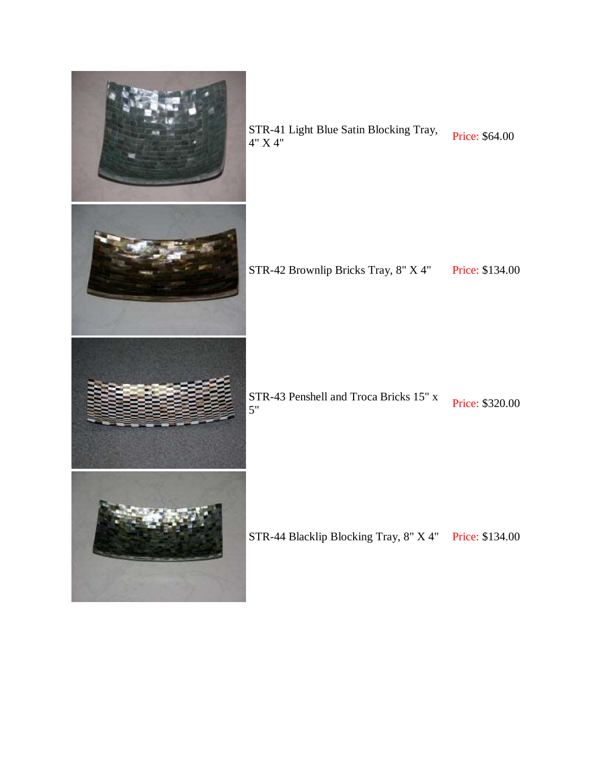

STR-41 Light Blue Satin Blocking Tray, Price: \$64.00<br>4" X 4"

STR-42 Brownlip Bricks Tray, 8" X 4" Price: \$134.00

STR-43 Penshell and Troca Bricks 15" x<br>5" Price: \$320.00

STR-44 Blacklip Blocking Tray, 8" X 4" Price: \$134.00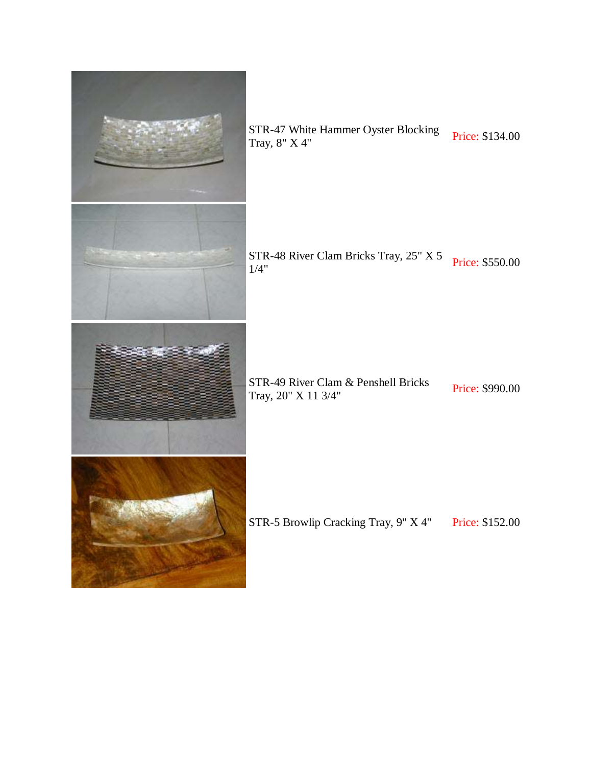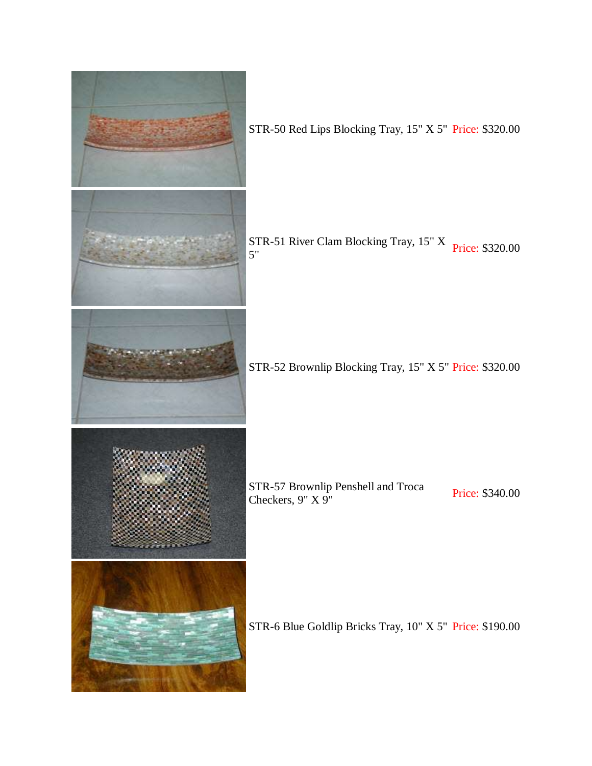

STR-50 Red Lips Blocking Tray, 15" X 5" Price: \$320.00

STR-51 River Clam Blocking Tray, 15" X<br>5"

STR-52 Brownlip Blocking Tray, 15" X 5" Price: \$320.00

STR-57 Brownlip Penshell and Troca<br>
Checkers, 9" X 9" Price: \$340.00

STR-6 Blue Goldlip Bricks Tray, 10" X 5" Price: \$190.00